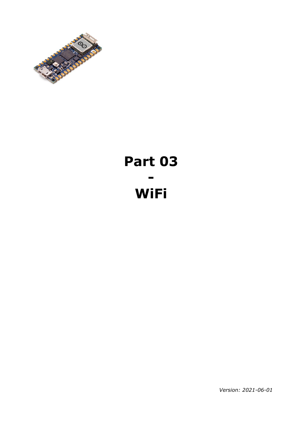

# **Part 03 - WiFi**

*Version: 2021-06-01*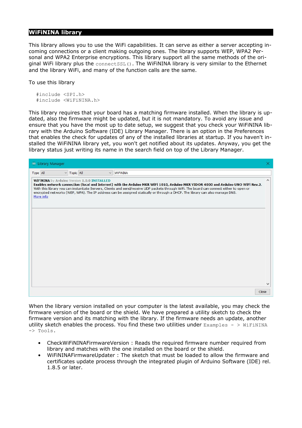## **WiFiNINA library**

This library allows you to use the WiFi capabilities. It can serve as either a server accepting incoming connections or a client making outgoing ones. The library supports WEP, WPA2 Personal and WPA2 Enterprise encryptions. This library support all the same methods of the original WiFi library plus the connectSSL(). The WiFiNINA library is very similar to the Ethernet and the library WiFi, and many of the function calls are the same.

To use this library

```
#include <SPI.h>
#include <WiFiNINA.h>
```
This library requires that your board has a matching firmware installed. When the library is updated, also the firmware might be updated, but it is not mandatory. To avoid any issue and ensure that you have the most up to date setup, we suggest that you check your WiFiNINA library with the Arduino Software (IDE) Library Manager. There is an option in the Preferences that enables the check for updates of any of the installed libraries at startup. If you haven't installed the WiFiNINA library yet, you won't get notified about its updates. Anyway, you get the library status just writing its name in the search field on top of the Library Manager.

| <b>◎</b> Library Manager                                                                                                                                                                                                                                                                                                                                                                                                                                                    |          |
|-----------------------------------------------------------------------------------------------------------------------------------------------------------------------------------------------------------------------------------------------------------------------------------------------------------------------------------------------------------------------------------------------------------------------------------------------------------------------------|----------|
| $\vee$ Topic All<br>Type All<br><b>WiFiNINA</b><br>$\checkmark$                                                                                                                                                                                                                                                                                                                                                                                                             |          |
| WiFiNINA by Arduino Version 1.0.0 INSTALLED<br>Enables network connection (local and Internet) with the Arduino MKR WiFi 1010, Arduino MKR VIDOR 4000 and Arduino UNO WiFi Rev.2.<br>With this library you can instantiate Servers, Clients and send/receive UDP packets through WiFi. The board can connect either to open or<br>encrypted networks (WEP, WPA). The IP address can be assigned statically or through a DHCP. The library can also manage DNS.<br>More info | $\wedge$ |
|                                                                                                                                                                                                                                                                                                                                                                                                                                                                             |          |
|                                                                                                                                                                                                                                                                                                                                                                                                                                                                             |          |
|                                                                                                                                                                                                                                                                                                                                                                                                                                                                             |          |
|                                                                                                                                                                                                                                                                                                                                                                                                                                                                             |          |
| Close                                                                                                                                                                                                                                                                                                                                                                                                                                                                       |          |

When the library version installed on your computer is the latest available, you may check the firmware version of the board or the shield. We have prepared a utility sketch to check the firmware version and its matching with the library. If the firmware needs an update, another utility sketch enables the process. You find these two utilities under  $\text{Examples}$  - > WiFiNINA -> Tools.

- CheckWiFiNINAFirmwareVersion : Reads the required firmware number required from library and matches with the one installed on the board or the shield.
- WiFiNINAFirmwareUpdater : The sketch that must be loaded to allow the firmware and certificates update process through the integrated plugin of Arduino Software (IDE) rel. 1.8.5 or later.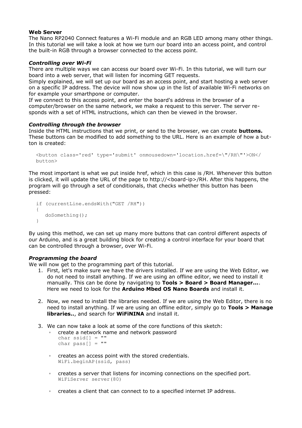#### **Web Server**

The Nano RP2040 Connect features a Wi-Fi module and an RGB LED among many other things. In this tutorial we will take a look at how we turn our board into an access point, and control the built-in RGB through a browser connected to the access point.

#### *Controlling over Wi-Fi*

There are multiple ways we can access our board over Wi-Fi. In this tutorial, we will turn our board into a web server, that will listen for incoming GET requests.

Simply explained, we will set up our board as an access point, and start hosting a web server on a specific IP address. The device will now show up in the list of available Wi-Fi networks on for example your smarthpone or computer.

If we connect to this access point, and enter the board's address in the browser of a computer/browser on the same network, we make a request to this server. The server responds with a set of HTML instructions, which can then be viewed in the browser.

#### *Controlling through the browser*

Inside the HTML instructions that we print, or send to the browser, we can create **buttons.** These buttons can be modified to add something to the URL. Here is an example of how a button is created:

```
<button class='red' type='submit' onmousedown='location.href=\"/RH\"'>ON</
button>
```
The most important is what we put inside href, which in this case is /RH. Whenever this button is clicked, it will update the URL of the page to http://<board-ip>/RH. After this happens, the program will go through a set of conditionals, that checks whether this button has been pressed:

```
if (currentLine.endsWith("GET /RH")) 
{ 
    doSomething();
}
```
By using this method, we can set up many more buttons that can control different aspects of our Arduino, and is a great building block for creating a control interface for your board that can be controlled through a browser, over Wi-Fi.

#### *Programming the board*

We will now get to the programming part of this tutorial.

- 1. First, let's make sure we have the drivers installed. If we are using the Web Editor, we do not need to install anything. If we are using an offline editor, we need to install it manually. This can be done by navigating to **Tools > Board > Board Manager...**. Here we need to look for the **Arduino Mbed OS Nano Boards** and install it.
- 2. Now, we need to install the libraries needed. If we are using the Web Editor, there is no need to install anything. If we are using an offline editor, simply go to **Tools > Manage libraries..**, and search for **WiFiNINA** and install it.
- 3. We can now take a look at some of the core functions of this sketch:
	- create a network name and network password

```
char ssid[] = "char pass[] = "
```
- creates an access point with the stored credentials. WiFi.beginAP(ssid, pass)
- creates a server that listens for incoming connections on the specified port. WiFiServer server(80)
- creates a client that can connect to to a specified internet IP address.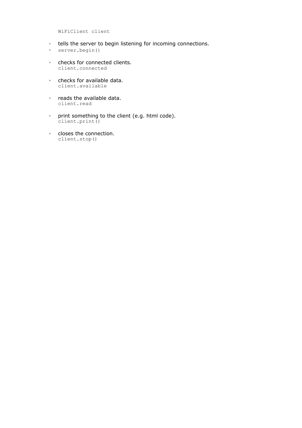WiFiClient client

- tells the server to begin listening for incoming connections.
- server.begin()
- checks for connected clients. client.connected
- checks for available data. client.available
- reads the available data. client.read
- print something to the client (e.g. html code). client.print()
- closes the connection. client.stop()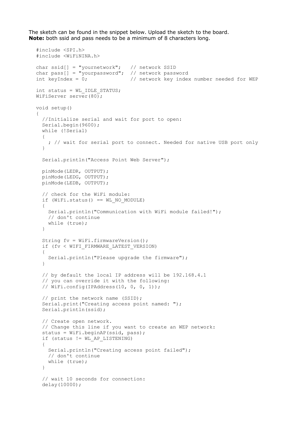The sketch can be found in the snippet below. Upload the sketch to the board. **Note:** both ssid and pass needs to be a minimum of 8 characters long.

#include <SPI.h>

```
#include <WiFiNINA.h>
char ssid[] = "yournetwork"; // network SSID
char pass[] = "yourpassword"; // network password<br>int keyIndex = 0; // network key inde
                                 // network key index number needed for WEP
int status = WL_IDLE_STATUS;
WiFiServer server(80);
void setup() 
{
   //Initialize serial and wait for port to open:
   Serial.begin(9600);
   while (!Serial) 
\{ ; // wait for serial port to connect. Needed for native USB port only
   }
   Serial.println("Access Point Web Server");
   pinMode(LEDR, OUTPUT);
   pinMode(LEDG, OUTPUT);
   pinMode(LEDB, OUTPUT);
   // check for the WiFi module:
  if (WiFi.status() == WL NO MODULE) {
     Serial.println("Communication with WiFi module failed!");
     // don't continue
     while (true);
   }
  String fv = WiFi.firmwareVersion();
   if (fv < WIFI_FIRMWARE_LATEST_VERSION) 
   {
     Serial.println("Please upgrade the firmware");
   }
   // by default the local IP address will be 192.168.4.1
   // you can override it with the following:
   // WiFi.config(IPAddress(10, 0, 0, 1));
   // print the network name (SSID);
   Serial.print("Creating access point named: ");
   Serial.println(ssid);
   // Create open network. 
   // Change this line if you want to create an WEP network:
   status = WiFi.beginAP(ssid, pass);
   if (status != WL_AP_LISTENING) 
   {
     Serial.println("Creating access point failed");
     // don't continue
     while (true);
   }
   // wait 10 seconds for connection:
   delay(10000);
```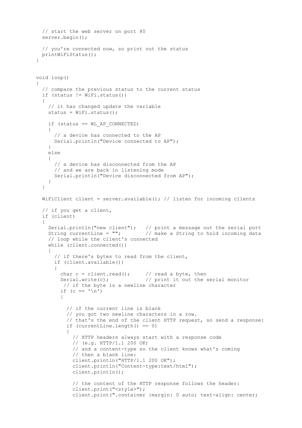```
 // start the web server on port 80
  server.begin();
  // you're connected now, so print out the status
  printWiFiStatus();
}
void loop() 
{
   // compare the previous status to the current status
  if (status != WiFi.status()) 
   {
     // it has changed update the variable
    status = WiFi.status();
     if (status == WL_AP_CONNECTED) 
     {
       // a device has connected to the AP
      Serial.println("Device connected to AP");
     } 
    else 
     {
      // a device has disconnected from the AP
      // and we are back in listening mode
      Serial.println("Device disconnected from AP");
     }
   }
 WiFiClient client = server.available(); // listen for incoming clients
   // if you get a client,
   if (client) 
   { 
 Serial.println("new client"); // print a message out the serial port
String currentLine = ""; \frac{1}{2} / make a String to hold incoming data
     // loop while the client's connected
     while (client.connected()) 
\{ // if there's bytes to read from the client,
       if (client.available()) 
\{char c = client.read(); // read a byte, then
       Serial.write(c); \frac{1}{2} // print it out the serial monitor
         // if the byte is a newline character
         if (c == '\n') 
         { 
           // if the current line is blank
           // you got two newline characters in a row.
           // that's the end of the client HTTP request, so send a response:
          if (currentLine.length() == 0) {
             // HTTP headers always start with a response code
             // (e.g. HTTP/1.1 200 OK)
             // and a content-type so the client knows what's coming
             // then a blank line:
             client.println("HTTP/1.1 200 OK");
             client.println("Content-type:text/html");
             client.println();
             // the content of the HTTP response follows the header:
             client.print("<style>");
             client.print(".container {margin: 0 auto; text-align: center;
```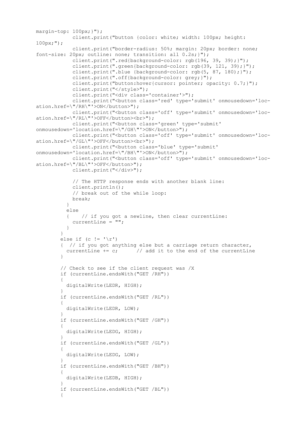```
margin-top: 100px;}");
             client.print("button {color: white; width: 100px; height: 
100px;");
             client.print("border-radius: 50%; margin: 20px; border: none; 
font-size: 20px; outline: none; transition: all 0.2s;}");
             client.print(".red{background-color: rgb(196, 39, 39);}");
             client.print(".green{background-color: rgb(39, 121, 39);}");
             client.print(".blue {background-color: rgb(5, 87, 180);}");
             client.print(".off{background-color: grey;}");
             client.print("button:hover{cursor: pointer; opacity: 0.7;}");
             client.print("</style>");
             client.print("<div class='container'>");
            client.print("<br/>button class='red' type='submit' onmousedown='loc-
ation.href=\"/RH\"'>ON</button>");
            client.print("<button class='off' type='submit' onmousedown='loc-
ation.href=\"/RL\"'>OFF</button><br>");
           client.print("<br/>button class='green' type='submit'
onmousedown='location.href=\"/GH\"'>ON</button>");
             client.print("<button class='off' type='submit' onmousedown='loc-
ation.href=\"/GL\"'>OFF</button><br>");
           client.print("<button class='blue' type='submit'
onmousedown='location.href=\"/BH\"'>ON</button>");
            client.print("<button class='off' type='submit' onmousedown='loc-
ation.href=\"/BL\"'>OFF</button>");
            client.print("</div>");
             // The HTTP response ends with another blank line:
             client.println();
             // break out of the while loop:
            break;
 } 
           else 
               // if you got a newline, then clear currentLine:
            currentLine = \mathbf{'''}:
 }
 } 
        else if (c != '\rightharpoonup r')
         { // if you got anything else but a carriage return character,
         currentLine += c; // add it to the end of the currentLine
 }
         // Check to see if the client request was /X
         if (currentLine.endsWith("GET /RH")) 
\{ digitalWrite(LEDR, HIGH);
 }
         if (currentLine.endsWith("GET /RL")) 
\{ digitalWrite(LEDR, LOW); 
 }
         if (currentLine.endsWith("GET /GH")) 
\{ digitalWrite(LEDG, HIGH); 
 }
         if (currentLine.endsWith("GET /GL")) 
\{ digitalWrite(LEDG, LOW); 
 }
         if (currentLine.endsWith("GET /BH")) 
\{ digitalWrite(LEDB, HIGH); 
 }
         if (currentLine.endsWith("GET /BL")) 
\{
```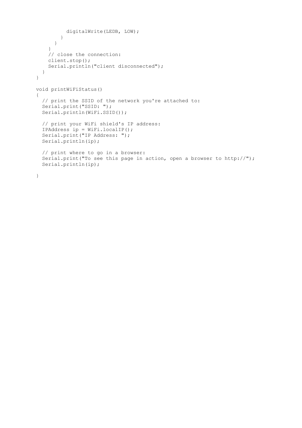```
 digitalWrite(LEDB, LOW); 
         }
       }
     }
     // close the connection:
     client.stop();
     Serial.println("client disconnected");
   }
}
void printWiFiStatus() 
{
   // print the SSID of the network you're attached to:
   Serial.print("SSID: ");
  Serial.println(WiFi.SSID());
   // print your WiFi shield's IP address:
   IPAddress ip = WiFi.localIP();
   Serial.print("IP Address: ");
   Serial.println(ip);
   // print where to go in a browser:
  Serial.print("To see this page in action, open a browser to http://");
   Serial.println(ip);
}
```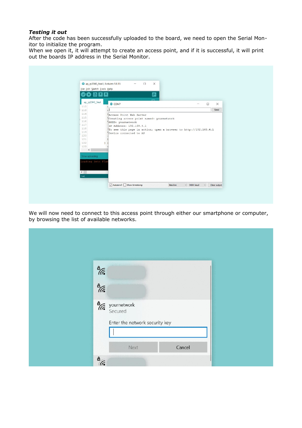### *Testing it out*

After the code has been successfully uploaded to the board, we need to open the Serial Monitor to initialize the program.

When we open it, it will attempt to create an access point, and if it is successful, it will print out the boards IP address in the Serial Monitor.

| File Edit Sketch Tools Help<br>809<br>÷                                                                                                  | $\Omega$                                                                                                                                   |                   |        |          |
|------------------------------------------------------------------------------------------------------------------------------------------|--------------------------------------------------------------------------------------------------------------------------------------------|-------------------|--------|----------|
| ap_rp2040_final<br>112                                                                                                                   | C COM7                                                                                                                                     | $\qquad \qquad -$ | $\Box$ | $\times$ |
| 113<br>114                                                                                                                               |                                                                                                                                            |                   |        | Send     |
| 116<br>117<br>118<br>119<br>120<br>121<br>122<br>123<br>m<br>$\left\langle \right\rangle$<br>Done uploading.<br>Loading into Flas<br>146 | SSID: yournetwork<br>IP Address: 192.168.4.1<br>To see this page in action, open a browser to http://192.168.4.1<br>Device connected to AP |                   |        |          |

We will now need to connect to this access point through either our smartphone or computer, by browsing the list of available networks.

| $\frac{a}{\sqrt{6}}$               |
|------------------------------------|
| $\frac{a}{\sqrt{6}}$               |
| <b>A</b><br>yournetwork<br>Secured |
| Enter the network security key     |
|                                    |
| Cancel<br>Next                     |
| $\frac{a}{\sqrt{6}}$               |